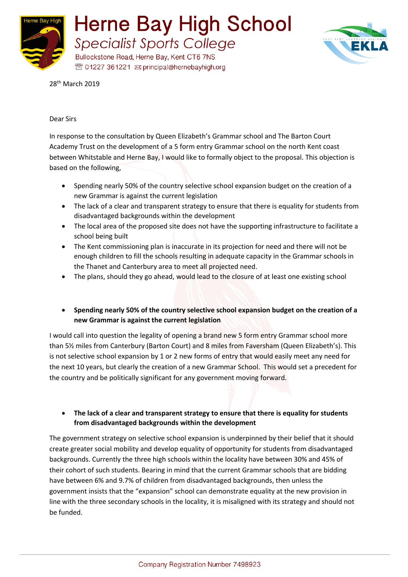



28<sup>th</sup> March 2019

#### Dear Sirs

In response to the consultation by Queen Elizabeth's Grammar school and The Barton Court Academy Trust on the development of a 5 form entry Grammar school on the north Kent coast between Whitstable and Herne Bay, I would like to formally object to the proposal. This objection is based on the following,

- Spending nearly 50% of the country selective school expansion budget on the creation of a new Grammar is against the current legislation
- The lack of a clear and transparent strategy to ensure that there is equality for students from disadvantaged backgrounds within the development
- The local area of the proposed site does not have the supporting infrastructure to facilitate a school being built
- The Kent commissioning plan is inaccurate in its projection for need and there will not be enough children to fill the schools resulting in adequate capacity in the Grammar schools in the Thanet and Canterbury area to meet all projected need.
- The plans, should they go ahead, would lead to the closure of at least one existing school

## • **Spending nearly 50% of the country selective school expansion budget on the creation of a new Grammar is against the current legislation**

I would call into question the legality of opening a brand new 5 form entry Grammar school more than 5½ miles from Canterbury (Barton Court) and 8 miles from Faversham (Queen Elizabeth's). This is not selective school expansion by 1 or 2 new forms of entry that would easily meet any need for the next 10 years, but clearly the creation of a new Grammar School. This would set a precedent for the country and be politically significant for any government moving forward.

## • **The lack of a clear and transparent strategy to ensure that there is equality for students from disadvantaged backgrounds within the development**

The government strategy on selective school expansion is underpinned by their belief that it should create greater social mobility and develop equality of opportunity for students from disadvantaged backgrounds. Currently the three high schools within the locality have between 30% and 45% of their cohort of such students. Bearing in mind that the current Grammar schools that are bidding have between 6% and 9.7% of children from disadvantaged backgrounds, then unless the government insists that the "expansion" school can demonstrate equality at the new provision in line with the three secondary schools in the locality, it is misaligned with its strategy and should not be funded.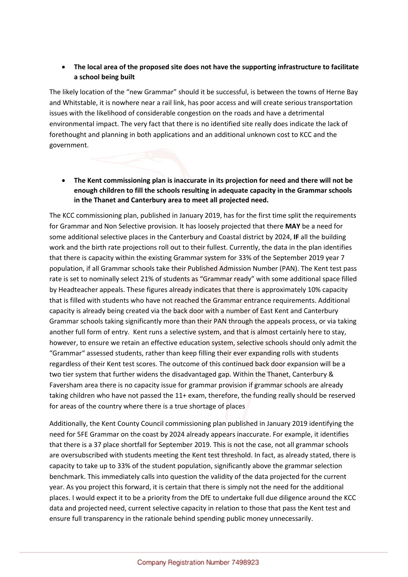# • **The local area of the proposed site does not have the supporting infrastructure to facilitate a school being built**

The likely location of the "new Grammar" should it be successful, is between the towns of Herne Bay and Whitstable, it is nowhere near a rail link, has poor access and will create serious transportation issues with the likelihood of considerable congestion on the roads and have a detrimental environmental impact. The very fact that there is no identified site really does indicate the lack of forethought and planning in both applications and an additional unknown cost to KCC and the government.

• **The Kent commissioning plan is inaccurate in its projection for need and there will not be enough children to fill the schools resulting in adequate capacity in the Grammar schools in the Thanet and Canterbury area to meet all projected need.**

The KCC commissioning plan, published in January 2019, has for the first time split the requirements for Grammar and Non Selective provision. It has loosely projected that there **MAY** be a need for some additional selective places in the Canterbury and Coastal district by 2024, **IF** all the building work and the birth rate projections roll out to their fullest. Currently, the data in the plan identifies that there is capacity within the existing Grammar system for 33% of the September 2019 year 7 population, if all Grammar schools take their Published Admission Number (PAN). The Kent test pass rate is set to nominally select 21% of students as "Grammar ready" with some additional space filled by Headteacher appeals. These figures already indicates that there is approximately 10% capacity that is filled with students who have not reached the Grammar entrance requirements. Additional capacity is already being created via the back door with a number of East Kent and Canterbury Grammar schools taking significantly more than their PAN through the appeals process, or via taking another full form of entry. Kent runs a selective system, and that is almost certainly here to stay, however, to ensure we retain an effective education system, selective schools should only admit the "Grammar" assessed students, rather than keep filling their ever expanding rolls with students regardless of their Kent test scores. The outcome of this continued back door expansion will be a two tier system that further widens the disadvantaged gap. Within the Thanet, Canterbury & Faversham area there is no capacity issue for grammar provision if grammar schools are already taking children who have not passed the 11+ exam, therefore, the funding really should be reserved for areas of the country where there is a true shortage of places

Additionally, the Kent County Council commissioning plan published in January 2019 identifying the need for 5FE Grammar on the coast by 2024 already appears inaccurate. For example, it identifies that there is a 37 place shortfall for September 2019. This is not the case, not all grammar schools are oversubscribed with students meeting the Kent test threshold. In fact, as already stated, there is capacity to take up to 33% of the student population, significantly above the grammar selection benchmark. This immediately calls into question the validity of the data projected for the current year. As you project this forward, it is certain that there is simply not the need for the additional places. I would expect it to be a priority from the DfE to undertake full due diligence around the KCC data and projected need, current selective capacity in relation to those that pass the Kent test and ensure full transparency in the rationale behind spending public money unnecessarily.